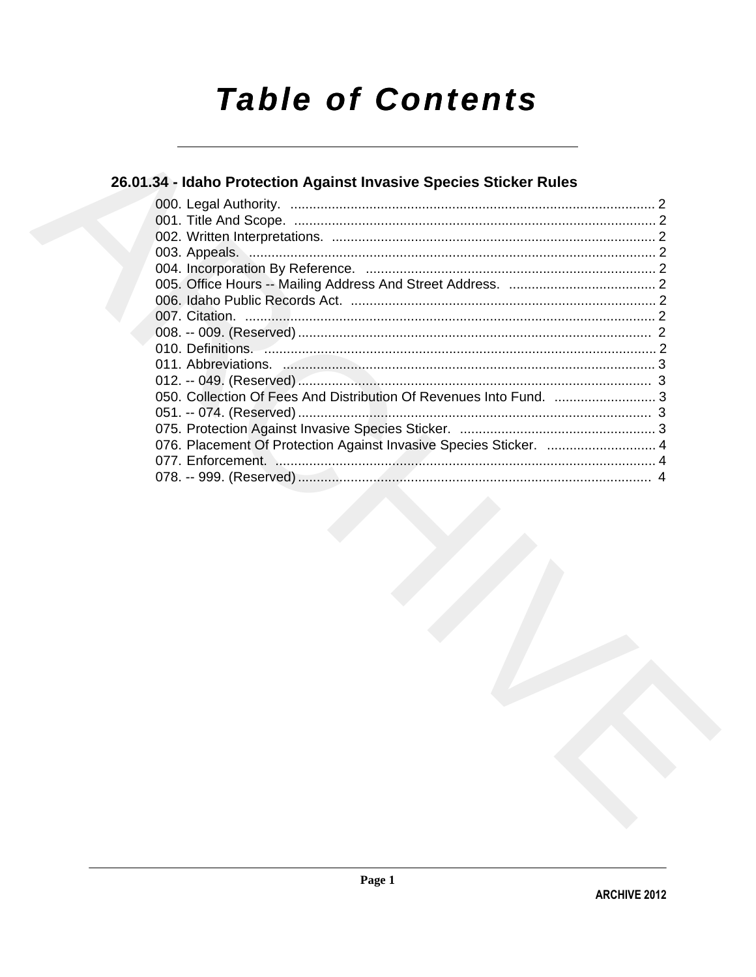# **Table of Contents**

# 26.01.34 - Idaho Protection Against Invasive Species Sticker Rules

| 010. Definitions. 2008. 2009. 2010. 2010. 2010. 2010. 2010. 2010. 2010. 2010. 2010. 2010. 2010. 2010. 2010. 2010. 2010. 2010. 2010. 2010. 2010. 2010. 2010. 2010. 2010. 2010. 2010. 2010. 2010. 2010. 2010. 2010. 2010. 2010. |  |
|-------------------------------------------------------------------------------------------------------------------------------------------------------------------------------------------------------------------------------|--|
|                                                                                                                                                                                                                               |  |
|                                                                                                                                                                                                                               |  |
| 050. Collection Of Fees And Distribution Of Revenues Into Fund. 3                                                                                                                                                             |  |
|                                                                                                                                                                                                                               |  |
|                                                                                                                                                                                                                               |  |
| 076. Placement Of Protection Against Invasive Species Sticker.  4                                                                                                                                                             |  |
|                                                                                                                                                                                                                               |  |
|                                                                                                                                                                                                                               |  |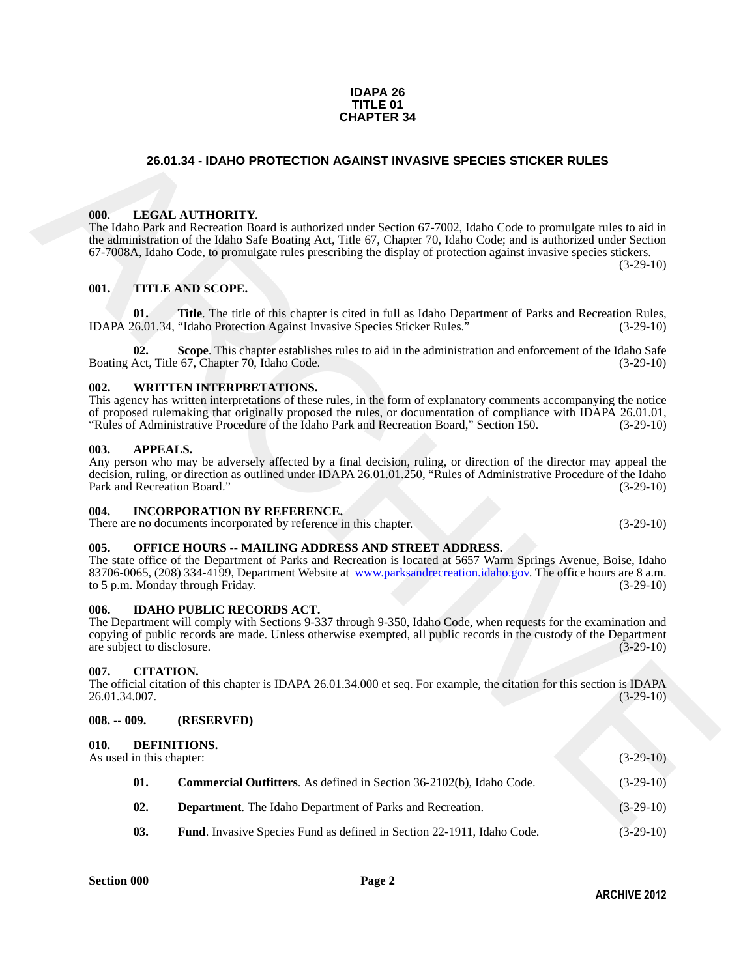#### **IDAPA 26 TITLE 01 CHAPTER 34**

# **26.01.34 - IDAHO PROTECTION AGAINST INVASIVE SPECIES STICKER RULES**

### <span id="page-1-1"></span><span id="page-1-0"></span>**000. LEGAL AUTHORITY.**

**26.01.34 - IDANO PROTECTION AGAINST INVASIVE SPECIES STICKER RULES<br>
196.** IDEAL ATTITORTY, interaction and Proteins of 7002 Jube Columb Terms and the state of the state of the state of the state of the state of the state The Idaho Park and Recreation Board is authorized under Section 67-7002, Idaho Code to promulgate rules to aid in the administration of the Idaho Safe Boating Act, Title 67, Chapter 70, Idaho Code; and is authorized under Section 67-7008A, Idaho Code, to promulgate rules prescribing the display of protection against invasive species stickers.  $(3-29-10)$ 

### <span id="page-1-2"></span>**001. TITLE AND SCOPE.**

**01.** Title. The title of this chapter is cited in full as Idaho Department of Parks and Recreation Rules, 26.01.34, "Idaho Protection Against Invasive Species Sticker Rules." (3-29-10) IDAPA 26.01.34, "Idaho Protection Against Invasive Species Sticker Rules."

**02. Scope**. This chapter establishes rules to aid in the administration and enforcement of the Idaho Safe Boating Act, Title 67, Chapter 70, Idaho Code. (3-29-10)

#### <span id="page-1-3"></span>**002. WRITTEN INTERPRETATIONS.**

This agency has written interpretations of these rules, in the form of explanatory comments accompanying the notice of proposed rulemaking that originally proposed the rules, or documentation of compliance with IDAPA 26.01.01,<br>"Rules of Administrative Procedure of the Idaho Park and Recreation Board," Section 150. (3-29-10) "Rules of Administrative Procedure of the Idaho Park and Recreation Board," Section 150.

#### <span id="page-1-4"></span>**003. APPEALS.**

Any person who may be adversely affected by a final decision, ruling, or direction of the director may appeal the decision, ruling, or direction as outlined under IDAPA 26.01.01.250, "Rules of Administrative Procedure of the Idaho<br>Park and Recreation Board." (3-29-10) Park and Recreation Board."

#### <span id="page-1-5"></span>**004. INCORPORATION BY REFERENCE.**

There are no documents incorporated by reference in this chapter. (3-29-10)

## <span id="page-1-6"></span>**005. OFFICE HOURS -- MAILING ADDRESS AND STREET ADDRESS.**

The state office of the Department of Parks and Recreation is located at 5657 Warm Springs Avenue, Boise, Idaho 83706-0065, (208) 334-4199, Department Website at www.parksandrecreation.idaho.gov. The office hours are 8 a.m. to 5 p.m. Monday through Friday. (3-29-10)

#### <span id="page-1-7"></span>**006. IDAHO PUBLIC RECORDS ACT.**

The Department will comply with Sections 9-337 through 9-350, Idaho Code, when requests for the examination and copying of public records are made. Unless otherwise exempted, all public records in the custody of the Department are subject to disclosure. (3-29-10)

#### <span id="page-1-8"></span>**007. CITATION.**

The official citation of this chapter is IDAPA 26.01.34.000 et seq. For example, the citation for this section is IDAPA 26.01.34.007. (3-29-10)

# <span id="page-1-9"></span>**008. -- 009. (RESERVED)**

#### <span id="page-1-11"></span><span id="page-1-10"></span>**010. DEFINITIONS.**

As used in this chapter: (3-29-10) **01. Commercial Outfitters**. As defined in Section 36-2102(b), Idaho Code. (3-29-10)

- <span id="page-1-13"></span><span id="page-1-12"></span>**02. Department**. The Idaho Department of Parks and Recreation. (3-29-10)
- <span id="page-1-14"></span>**03.** Fund. Invasive Species Fund as defined in Section 22-1911, Idaho Code. (3-29-10)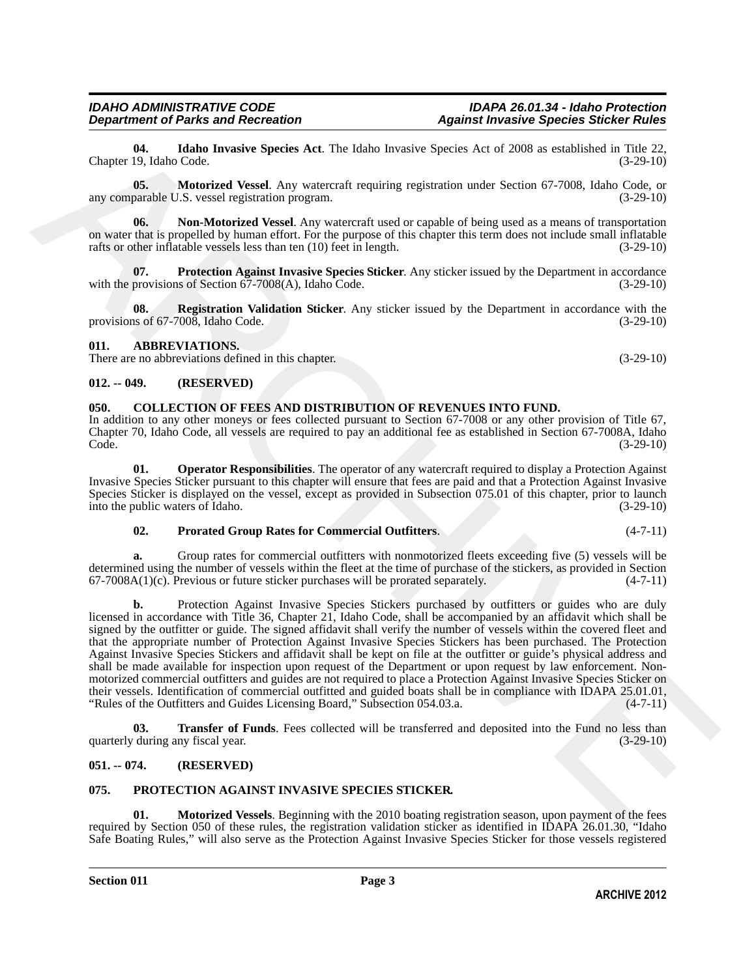# <span id="page-2-5"></span><span id="page-2-2"></span>**050. COLLECTION OF FEES AND DISTRIBUTION OF REVENUES INTO FUND.**

In addition to any other moneys or fees collected pursuant to Section 67-7008 or any other provision of Title 67, Chapter 70, Idaho Code, all vessels are required to pay an additional fee as established in Section 67-7008A, Idaho Code. (3-29-10)

**01. Operator Responsibilities**. The operator of any watercraft required to display a Protection Against Invasive Species Sticker pursuant to this chapter will ensure that fees are paid and that a Protection Against Invasive Species Sticker is displayed on the vessel, except as provided in Subsection 075.01 of this chapter, prior to launch into the public waters of Idaho. (3-29-10) into the public waters of Idaho.

# <span id="page-2-7"></span><span id="page-2-6"></span>**02. Prorated Group Rates for Commercial Outfitters**. (4-7-11)

**a.** Group rates for commercial outfitters with nonmotorized fleets exceeding five (5) vessels will be determined using the number of vessels within the fleet at the time of purchase of the stickers, as provided in Section  $67-7008A(1)(c)$ . Previous or future sticker purchases will be prorated separately.  $(4-7-11)$  $67-7008A(1)(c)$ . Previous or future sticker purchases will be prorated separately.

Chapter 14 Hallio Interior Species Act. The Idaho Involve Species Act of 2008 as evaluated in The 22,<br>
Chapter 19, blanched News Act of Western Copies and Section and Copies Contact (7.39.10)<br>
are compared in S. News Metr **b.** Protection Against Invasive Species Stickers purchased by outfitters or guides who are duly licensed in accordance with Title 36, Chapter 21, Idaho Code, shall be accompanied by an affidavit which shall be signed by the outfitter or guide. The signed affidavit shall verify the number of vessels within the covered fleet and that the appropriate number of Protection Against Invasive Species Stickers has been purchased. The Protection Against Invasive Species Stickers and affidavit shall be kept on file at the outfitter or guide's physical address and shall be made available for inspection upon request of the Department or upon request by law enforcement. Nonmotorized commercial outfitters and guides are not required to place a Protection Against Invasive Species Sticker on their vessels. Identification of commercial outfitted and guided boats shall be in compliance with IDAPA 25.01.01,<br>"Rules of the Outfitters and Guides Licensing Board." Subsection 054.03.a. (4-7-11) "Rules of the Outfitters and Guides Licensing Board," Subsection 054.03.a.

<span id="page-2-8"></span>**Transfer of Funds**. Fees collected will be transferred and deposited into the Fund no less than quarterly during any fiscal year. (3-29-10)

# <span id="page-2-3"></span>**051. -- 074. (RESERVED)**

<span id="page-2-0"></span>**011. ABBREVIATIONS.**

# <span id="page-2-14"></span><span id="page-2-4"></span>**075. PROTECTION AGAINST INVASIVE SPECIES STICKER.**

<span id="page-2-15"></span>**01. Motorized Vessels**. Beginning with the 2010 boating registration season, upon payment of the fees required by Section 050 of these rules, the registration validation sticker as identified in IDAPA 26.01.30, "Idaho Safe Boating Rules," will also serve as the Protection Against Invasive Species Sticker for those vessels registered

# *IDAHO ADMINISTRATIVE CODE IDAPA 26.01.34 - Idaho Protection Department of Parks and Recreation Against Invasive Species Sticker Rules*

<span id="page-2-9"></span>**04. Idaho Invasive Species Act**. The Idaho Invasive Species Act of 2008 as established in Title 22, Chapter 19, Idaho Code.

<span id="page-2-10"></span>**05. Motorized Vessel**. Any watercraft requiring registration under Section 67-7008, Idaho Code, or parable U.S. vessel registration program. (3-29-10) any comparable U.S. vessel registration program.

<span id="page-2-11"></span>**06.** Non-Motorized Vessel. Any watercraft used or capable of being used as a means of transportation on water that is propelled by human effort. For the purpose of this chapter this term does not include small inflatable rafts or other inflatable vessels less than ten (10) feet in length. (3-29-10) (3-29-10)

<span id="page-2-12"></span>**07.** Protection Against Invasive Species Sticker. Any sticker issued by the Department in accordance provisions of Section 67-7008(A), Idaho Code. (3-29-10) with the provisions of Section  $67-7008(A)$ , Idaho Code.

<span id="page-2-13"></span>**08. Registration Validation Sticker**. Any sticker issued by the Department in accordance with the provisions of 67-7008, Idaho Code. (3-29-10)

<span id="page-2-1"></span>There are no abbreviations defined in this chapter. (3-29-10) (3-29-10)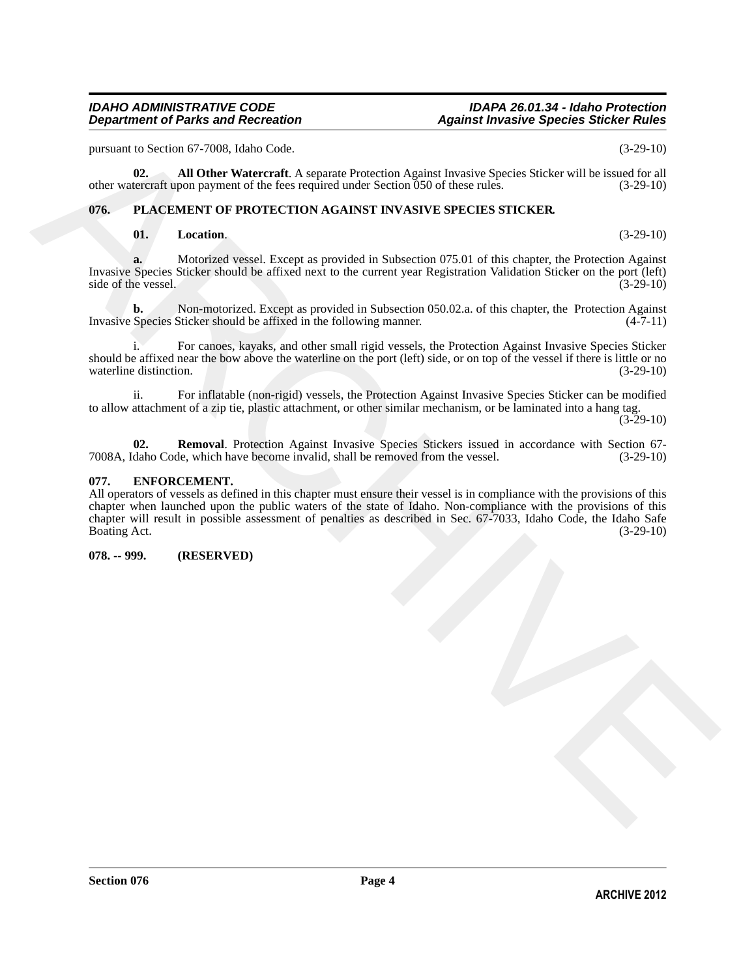pursuant to Section 67-7008, Idaho Code. (3-29-10)

**02. All Other Watercraft**. A separate Protection Against Invasive Species Sticker will be issued for all other watercraft upon payment of the fees required under Section 050 of these rules. (3-29-10)

# <span id="page-3-0"></span>**076. PLACEMENT OF PROTECTION AGAINST INVASIVE SPECIES STICKER.**

# <span id="page-3-7"></span><span id="page-3-5"></span><span id="page-3-4"></span>**01.** Location. (3-29-10)

**a.** Motorized vessel. Except as provided in Subsection 075.01 of this chapter, the Protection Against Invasive Species Sticker should be affixed next to the current year Registration Validation Sticker on the port (left) side of the vessel.

**b.** Non-motorized. Except as provided in Subsection 050.02.a. of this chapter, the Protection Against Invasive Species Sticker should be affixed in the following manner. (4-7-11)

i. For canoes, kayaks, and other small rigid vessels, the Protection Against Invasive Species Sticker should be affixed near the bow above the waterline on the port (left) side, or on top of the vessel if there is little or no waterline distinction. (3-29-10)

ii. For inflatable (non-rigid) vessels, the Protection Against Invasive Species Sticker can be modified to allow attachment of a zip tie, plastic attachment, or other similar mechanism, or be laminated into a hang tag.  $(3-29-10)$ 

<span id="page-3-6"></span>**02. Removal**. Protection Against Invasive Species Stickers issued in accordance with Section 67-<br>(3-29-10) (3-29-10) daho Code, which have become invalid, shall be removed from the vessel. 7008A, Idaho Code, which have become invalid, shall be removed from the vessel.

# <span id="page-3-3"></span><span id="page-3-1"></span>**077. ENFORCEMENT.**

parteame to Section 67.7006, Island Crash.<br>
and the women infinite Argents Potterior Agginal provide Section Section Section Section 16 is easily to the second Section 16 is easily to the Section 16 is easily to the Secti All operators of vessels as defined in this chapter must ensure their vessel is in compliance with the provisions of this chapter when launched upon the public waters of the state of Idaho. Non-compliance with the provisions of this chapter will result in possible assessment of penalties as described in Sec. 67-7033, Idaho Code, the Idaho Safe Boating Act. (3-29-10)

# <span id="page-3-2"></span>**078. -- 999. (RESERVED)**